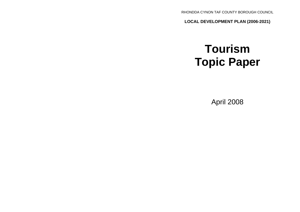RHONDDA CYNON TAF COUNTY BOROUGH COUNCIL

**LOCAL DEVELOPMENT PLAN (2006-2021)**

# **Tourism Topic Paper**

April 2008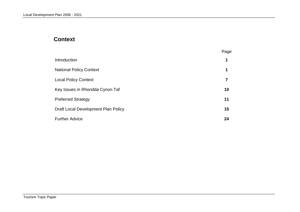# **Context**

|                                     | Page |
|-------------------------------------|------|
| Introduction                        | 1    |
| <b>National Policy Context</b>      | 1    |
| <b>Local Policy Context</b>         | 7    |
| Key Issues in Rhondda Cynon Taf     | 10   |
| <b>Preferred Strategy</b>           | 11   |
| Draft Local Development Plan Policy | 15   |
| <b>Further Advice</b>               | 24   |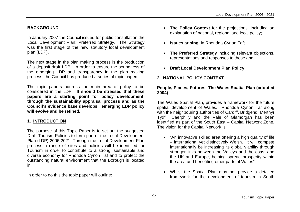# **BACKGROUND**

In January 2007 the Council issued for public consultation the Local Development Plan: Preferred Strategy. The Strategy was the first stage of the new statutory local development plan (LDP).

The next stage in the plan making process is the production of a deposit draft LDP. In order to ensure the soundness of the emerging LDP and transparency in the plan making process, the Council has produced a series of topic papers.

The topic papers address the main area of policy to be considered in the LDP. **It should be stressed that these papers are a starting point for policy development, through the sustainability appraisal process and as the Council's evidence base develops, emerging LDP policy will evolve and be refined.**

# **1. INTRODUCTION**

The purpose of this Topic Paper is to set out the suggested Draft Tourism Policies to form part of the Local Development Plan (LDP) 2006-2021. Through the Local Development Plan process a range of sites and policies will be identified for Tourism in order to contribute to a strong, sustainable and diverse economy for Rhondda Cynon Taf and to protect the outstanding natural environment that the Borough is located in.

In order to do this the topic paper will outline:

- **The Policy Context** for the projections, including an explanation of national, regional and local policy;
- **Issues arising**, in Rhondda Cynon Taf;
- **The Preferred Strategy** including relevant objections, representations and responses to these and
- **Draft Local Development Plan Policy**.

# **2. NATIONAL POLICY CONTEXT**

## **People, Places, Futures- The Wales Spatial Plan (adopted 2004)**

The Wales Spatial Plan, provides a framework for the future spatial development of Wales. Rhondda Cynon Taf along with the neighbouring authorities of Cardiff, Bridgend, Merthyr Tydfil, Caerphilly and the Vale of Glamorgan has been identified as part of the South East – Capital Network Zone. The vision for the Capital Network is:

- "An innovative skilled area offering a high quality of life – international yet distinctively Welsh. It will compete internationally be increasing its global viability through stronger links between the Valleys and the coast and the UK and Europe, helping spread prosperity within the area and benefiting other parts of Wales".
- Whilst the Spatial Plan may not provide a detailed framework for the development of tourism in South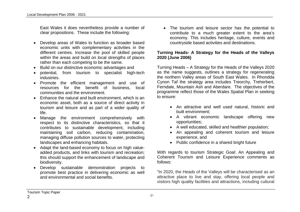East Wales it does nevertheless provide a number of clear propositions. These include the following:

- Develop areas of Wales to function as broader based economic units with complementary activities in the different centres. Increase the pool of skilled people within the areas and build on local strengths of places rather than each competing to be the same.
- Build on our distinctive economic advantages and
- potential, from tourism to specialist high-tech industries.
- Promote the efficient management and use of resources for the benefit of business, local communities and the environment.
- Enhance the natural and built environment, which is an economic asset, both as a source of direct activity in tourism and leisure and as part of a wider quality of life.
- Manage the environment comprehensively with respect to its distinctive characteristics, so that it contributes to sustainable development, including maintaining soil carbon, reducing contamination, managing diffuse pollution sources to water, protecting landscapes and enhancing habitats.
- Adapt the land-based economy to focus on high valueadded products, and links with tourism and recreation; this should support the enhancement of landscape and biodiversity.
- Develop sustainable demonstration projects to promote best practice in delivering economic as well and environmental and social benefits.

 The tourism and leisure sector has the potential to contribute to a much greater extent to the area's economy. This includes heritage, culture, events and countryside based activities and destinations.

## **Turning Heads- A Strategy for the Heads of the Valleys 2020 (June 2006)**

Turning Heads – A Strategy for the Heads of the Valleys 2020 as the name suggests, outlines a strategy for regenerating the northern Valley areas of South East Wales. In Rhondda Cynon Taf the strategy area includes Treorchy, Treherbert, Ferndale, Mountain Ash and Aberdare. The objectives of the programme reflect those of the Wales Spatial Plan in seeking to ensure:

- An attractive and well used natural, historic and built environment;
- A vibrant economic landscape offering new opportunities;
- A well educated, skilled and healthier population;
- An appealing and coherent tourism and leisure experience, and
- Public confidence in a shared bright future

With regards to tourism Strategic Goal: An Appealing and Coherent Tourism and Leisure Experience comments as follows:

"In 2020, the Heads of the Valleys will be characterised as an attractive place to live and stay, offering local people and visitors high quality facilities and attractions, including cultural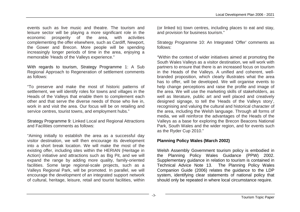events such as live music and theatre. The tourism and leisure sector will be playing a more significant role in the economic prosperity of the area, with activities complementing the offer elsewhere, such as Cardiff, Newport, the Gower and Brecon. More people will be spending increasingly longer periods of time in the area, enjoying a memorable 'Heads of the Valleys experience."

With regards to tourism, Strategy Programme 1: A Sub Regional Approach to Regeneration of settlement comments as follows:

"To preserve and make the most of historic patterns of settlement, we will identify roles for towns and villages in the Heads of the Valleys that enable them to complement each other and that serve the diverse needs of those who live in, work in and visit the area. Our focus will be on retailing and service centres, tourist towns, and employment hubs."

Strategy Programme 9: Linked Local and Regional Attractions and Facilities comments as follows:

"Aiming initially to establish the area as a successful day visitor destination, we will then encourage its development into a short break location. We will make the most of the existing offer, including sites within the HERIAN (Heritage in Action) initiative and attractions such as Big Pit, and we will expand the range by adding more quality, family-oriented facilities. Some large regional-scale projects, such as a Valleys Regional Park, will be promoted. In parallel, we will encourage the development of an integrated support network of cultural, heritage, leisure, retail and tourist facilities, within

(or linked to) town centres, including places to eat and stay, and provision for business tourism."

Strategy Programme 10: An Integrated 'Offer' comments as follows:

"Within the context of wider initiatives aimed at promoting the South Wales Valleys as a visitor destination, we will work with partners to ensure that there is an increased focus on tourism in the Heads of the Valleys. A unified and coherent, wellbranded proposition, which clearly illustrates what the area has to offer, will be developed. We will organise events to help change perceptions and raise the profile and image of the area. We will use the marketing skills of stakeholders, as well as literature, public art and well placed and creatively designed signage, to tell the 'Heads of the Valleys story', recognising and valuing the cultural and historical character of the area, including the Welsh language. Through all forms of media, we will reinforce the advantages of the Heads of the Valleys as a base for exploring the Brecon Beacons National Park, South Wales and the wider region, and for events such as the Ryder Cup 2010."

# **Planning Policy Wales (March 2002)**

Welsh Assembly Government tourism policy is embodied in the Planning Policy Wales Guidance (PPW) 2002. Supplementary guidance in relation to tourism is contained in Technical Advice Note 13. The Planning Policy Wales Companion Guide (2006) relates the guidance to the LDP system, identifying clear statements of national policy that should only be repeated in where local circumstance require.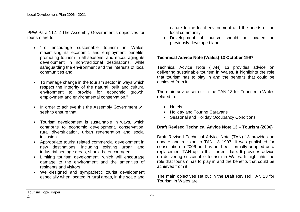PPW Para 11.1.2 The Assembly Government's objectives for tourism are to:

- "To encourage sustainable tourism in Wales, maximising its economic and employment benefits, promoting tourism in all seasons, and encouraging its development in non-traditional destinations, while safeguarding the environment and the interests of local communities and
- To manage change in the tourism sector in ways which respect the integrity of the natural, built and cultural environment to provide for economic growth, employment and environmental conservation."
- In order to achieve this the Assembly Government will seek to ensure that:
- Tourism development is sustainable in ways, which contribute to economic development, conservation, rural diversification, urban regeneration and social inclusion.
- Appropriate tourist related commercial development in new destinations, including existing urban and industrial heritage areas, should be encouraged.
- Limiting tourism development, which will encourage damage to the environment and the amenities of residents and visitors.
- Well-designed and sympathetic tourist development especially when located in rural areas, in the scale and

nature to the local environment and the needs of the local community.

 Development of tourism should be located on previously developed land.

#### **Technical Advice Note (Wales) 13 October 1997**

Technical Advice Note (TAN) 13 provides advice on delivering sustainable tourism in Wales. It highlights the role that tourism has to play in and the benefits that could be achieved from it.

The main advice set out in the TAN 13 for Tourism in Wales related to:

- Hotels
- Holiday and Touring Caravans
- Seasonal and Holiday Occupancy Conditions

#### **Draft Revised Technical Advice Note 13 – Tourism (2006)**

Draft Revised Technical Advice Note (TAN) 13 provides an update and revision to TAN 13 1997. It was published for consultation in 2006 but has not been formally adopted as a replacement TAN up to this current date. It provides advice on delivering sustainable tourism in Wales. It highlights the role that tourism has to play in and the benefits that could be achieved from it.

The main objectives set out in the Draft Revised TAN 13 for Tourism in Wales are:

Tourism Topic Paper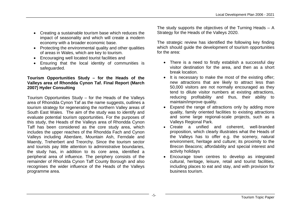- Creating a sustainable tourism base which reduces the impact of seasonality and which will create a modern economy with a broader economic base.
- Protecting the environmental quality and other qualities of areas in Wales, which are key to tourism.
- Encouraging well located tourist facilities and
- Ensuring that the local identity of communities is safeguarded.

# **Tourism Opportunities Study – for the Heads of the Valleys area of Rhondda Cynon Taf. Final Report (March 2007) Hyder Consulting**

Tourism Opportunities Study – for the Heads of the Valleys area of Rhondda Cynon Taf as the name suggests, outlines a tourism strategy for regenerating the northern Valley areas of South East Wales. The aim of the study was to identify and evaluate potential tourism opportunities. For the purposes of this study, the Heads of the Valleys area of Rhondda Cynon Taff has been considered as the core study area, which includes the upper reaches of the Rhondda Fach and Cynon Valleys including Aberdare, Mountain Ash, Ferndale and Maerdy, Treherbert and Treorchy. Since the tourism sector and tourists pay little attention to administrative boundaries, the study has, in addition to its core area, identified a peripheral area of influence. The periphery consists of the remainder of Rhondda Cynon Taff County Borough and also recognises the wider influence of the Heads of the Valleys programme area.

The study supports the objectives of the Turning Heads – A Strategy for the Heads of the Valleys 2020.

The strategic review has identified the following key finding which should guide the development of tourism opportunities for the area:

- There is a need to firstly establish a successful day visitor destination for the area, and then as a short break location.
- It is necessary to make the most of the existing offer: new attractions that are likely to attract less than 50,000 visitors are not normally encouraged as they tend to dilute visitor numbers at existing attractions, reducing profitability and thus, their ability to maintain/improve quality.
- Expand the range of attractions only by adding more quality, family oriented facilities to existing attractions and some large regional-scale projects, such as a Valleys Regional Park.
- Create a unified and coherent, well-branded proposition, which clearly illustrates what the Heads of the Valleys has to offer e.g. the scenery, natural environment, heritage and culture; its proximity to the Brecon Beacons; affordability and special interest and activity holidays
- Encourage town centres to develop as integrated cultural, heritage, leisure, retail and tourist facilities, including places to eat and stay, and with provision for business tourism.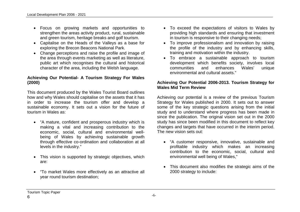- Focus on growing markets and opportunities to strengthen the areas activity product, rural, sustainable and green tourism, heritage breaks and golf tourism.
- Capitalise on the Heads of the Valleys as a base for exploring the Brecon Beacons National Park.
- Change perceptions and raise the profile and image of the area through events marketing as well as literature, public art which recognises the cultural and historical character of the area, including the Welsh language.

# **Achieving Our Potential- A Tourism Strategy For Wales (2000)**

This document produced by the Wales Tourist Board outlines how and why Wales should capitalise on the assets that it has in order to increase the tourism offer and develop a sustainable economy. It sets out a vision for the future of tourism in Wales as:

- "A mature, confident and prosperous industry which is making a vital and increasing contribution to the economic, social, cultural and environmental wellbeing of Wales by achieving sustainable growth through effective co-ordination and collaboration at all levels in the industry."
- This vision is supported by strategic objectives, which are:
- "To market Wales more effectively as an attractive all year round tourism destination;
- To exceed the expectations of visitors to Wales by providing high standards and ensuring that investment in tourism is responsive to their changing needs;
- To improve professionalism and innovation by raising the profile of the industry and by enhancing skills, training and motivation within the industry.
- To embrace a sustainable approach to tourism development which benefits society, involves local communities and enhances Wales' unique environmental and cultural assets."

#### **Achieving Our Potential 2006-2013. Tourism Strategy for Wales Mid Term Review**

Achieving our potential is a review of the previous Tourism Strategy for Wales published in 2000. It sets out to answer some of the key strategic questions arising from the initial study and to understand where progress has been made in since the publication. The original vision set out in the 2000 study has since been modified in this document to reflect key changes and targets that have occurred in the interim period. The new vision sets out:

- "A customer responsive, innovative, sustainable and profitable industry which makes an increasing contribution to the economic, social, cultural and environmental well being of Wales,"
- This document also modifies the strategic aims of the 2000 strategy to include:

Tourism Topic Paper 6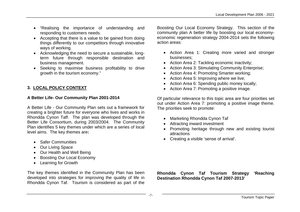- "Realising the importance of understanding and responding to customers needs.
- Accepting that there is a value to be gained from doing things differently to our competitors through innovative ways of working.
- Acknowledging the need to secure a sustainable, longterm future through responsible destination and business management.
- Seeking to maximise business profitability to drive growth in the tourism economy."

# **3. LOCAL POLICY CONTEXT**

## **A Better Life- Our Community Plan 2001-2014**

A Better Life - Our Community Plan sets out a framework for creating a brighter future for everyone who lives and works in Rhondda Cynon Taff. The plan was developed through the Better Life Consortium, during 2003/2004. The Community Plan identifies 5 key themes under which are a series of local level aims. The key themes are**:**

- Safer Communities
- Our Living Space
- Our Health and Well Being
- Boosting Our Local Economy
- Learning for Growth

The key themes identified in the Community Plan has been developed into strategies for improving the quality of life in Rhondda Cynon Taf. Tourism is considered as part of the Boosting Our Local Economy Strategy. This section of the community plan A better life by boosting our local economyeconomic regeneration strategy 2004-2014 sets the following action areas:

- Action Area 1: Creating more varied and stronger businesses;
- Action Area 2: Tackling economic inactivity;
- Action Area 3: Stimulating Community Enterprise;
- Action Area 4: Promoting Smarter working:
- Action Area 5: Improving where we live;
- Action Area 6: Spending public money locally;
- Action Area 7: Promoting a positive image.

Of particular relevance to this topic area are four priorities set out under Action Area 7: promoting a positive image theme. The priorities seek to promote:

- Marketing Rhondda Cynon Taf
- Attracting inward investment
- Promoting heritage through new and existing tourist attractions
- Creating a visible 'sense of arrival'.

**Rhondda Cynon Taf Tourism Strategy 'Reaching Destination Rhondda Cynon Taf 2007-2013'**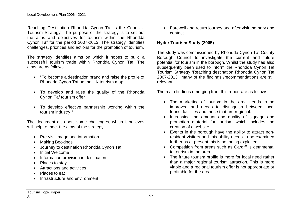Reaching Destination Rhondda Cynon Taf is the Council's Tourism Strategy. The purpose of the strategy is to set out the aims and objectives for tourism within the Rhondda Cynon Taf for the period 2007-2013. The strategy identifies challenges, priorities and actions for the promotion of tourism.

The strategy identifies aims on which it hopes to build a successful tourism trade within Rhondda Cynon Taf. The aims are as follows:

- "To become a destination brand and raise the profile of Rhondda Cynon Taf on the UK tourism map.
- To develop and raise the quality of the Rhondda Cynon Taf tourism offer
- To develop effective partnership working within the tourism industry."

The document also sets some challenges, which it believes will help to meet the aims of the strategy:

- Pre-visit image and information
- Making Bookings
- Journey to destination Rhondda Cynon Taf
- Initial Welcome
- Information provision in destination
- Places to stay
- Attractions and activities
- Places to eat
- Infrastructure and environment

 Farewell and return journey and after visit memory and contact

# **Hyder Tourism Study (2005)**

The study was commissioned by Rhondda Cynon Taf County Borough Council to investigate the current and future potential for tourism in the borough. Whilst the study has also subsequently been used to inform the Rhondda Cynon Taf Tourism Strategy 'Reaching destination Rhondda Cynon Taf 2007-2013', many of the findings /recommendations are still relevant

The main findings emerging from this report are as follows:

- The marketing of tourism in the area needs to be improved and needs to distinguish between local tourist facilities and those that are regional.
- Increasing the amount and quality of signage and promotion material for tourism which includes the creation of a website.
- Events in the borough have the ability to attract nonresident visitors and this ability needs to be examined further as at present this is not being exploited.
- Competition from areas such as Cardiff is detrimental to tourism in the area.
- The future tourism profile is more for local need rather than a major regional tourism attraction. This is more viable and a regional tourism offer is not appropriate or profitable for the area.

8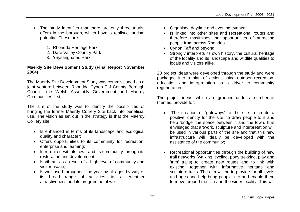- The study identifies that there are only three tourist offers in the borough, which have a realistic tourism potential. These are:
	- 1. Rhondda Heritage Park
	- 2. Dare Valley Country Park
	- 3. Ynysangharad Park

# **Maerdy Site Development Study (Final Report November 2004)**

The Maerdy Site Development Study was commissioned as a joint venture between Rhondda Cynon Taf County Borough Council, the Welsh Assembly Government and Maerdy Communities first.

The aim of the study was to identify the possibilities of bringing the former Maerdy Colliery Site back into beneficial use. The vision as set out in the strategy is that the Maerdy Colliery site:

- Is enhanced in terms of its landscape and ecological quality and character;
- Offers opportunities to its community for recreation, enterprise and learning;
- Is re-united with its town and its community through its restoration and development;
- Is vibrant as a result of a high level of community and visitor usage;
- Is well used throughout the year by all ages by way of its broad range of activities, its all weather attractiveness and its programme of well
- Organised daytime and evening events:
- Is linked into other sites and recreational routes and therefore maximises the opportunities of attracting people from across Rhondda
- Cynon Taff and beyond;
- Strongly interprets its own history, the cultural heritage of the locality and its landscape and wildlife qualities to locals and visitors alike.

23 project ideas were developed through the study and were packaged into a plan of action, using outdoor recreation, education and interpretation as a driver to community regeneration.

The project ideas, which are grouped under a number of themes, provide for:

- "The creation of 'gateways' to the site to create a positive identity for the site, to draw people to it and help 'bridge' the space between it and the town. It is envisaged that artwork, sculpture and interpretation will be used in various parts of the site and that this new infrastructure will ideally be developed with the assistance of the community;
- Recreational opportunities through the building of new trail networks (walking, cycling, pony trekking, play and 'trim' trails) to create new routes and to link with existing, together with informative heritage and sculpture trails. The aim will be to provide for all levels and ages and help bring people into and enable them to move around the site and the wider locality. This will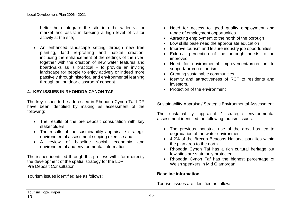better help integrate the site into the wider visitor market and assist in keeping a high level of visitor activity at the site;

 An enhanced landscape setting through new tree planting, land re-profiling and habitat creation, including the enhancement of the settings of the river, together with the creation of new water features and boardwalks as is practical  $-$  to provide an inviting landscape for people to enjoy actively or indeed more passively through historical and environmental learning through an 'outdoor classroom' concept.

## **4. KEY ISSUES IN RHONDDA CYNON TAF**

The key issues to be addressed in Rhondda Cynon Taf LDP have been identified by making as assessment of the following:

- The results of the pre deposit consultation with key stakeholders
- The results of the sustainability appraisal / strategic environmental assessment scoping exercise and
- A review of baseline social, economic and environmental and environmental information

The issues identified through this process will inform directly the development of the spatial strategy for the LDP. Pre Deposit Consultation

Tourism issues identified are as follows:

- Need for access to good quality employment and range of employment opportunities
- Attracting employment to the north of the borough
- Low skills base need the appropriate education
- Improve tourism and leisure industry job opportunities
- External perception of the borough needs to be improved
- Need for environmental improvement/protection to support/ promote tourism
- Creating sustainable communities
- Identity and attractiveness of RCT to residents and investors.
- Protection of the environment

Sustainability Appraisal/ Strategic Environmental Assessment

The sustainability appraisal / strategic environmental assessment identified the following tourism issues:

- The previous industrial use of the area has led to degradation of the water environment
- 4.2% of the Brecon Beacons National park lies within the plan area to the north.
- Rhondda Cynon Taf has a rich cultural heritage but few sites are statutorily protected
- Rhondda Cynon Taf has the highest percentage of Welsh speakers in Mid Glamorgan

#### **Baseline information**

Tourism issues are identified as follows: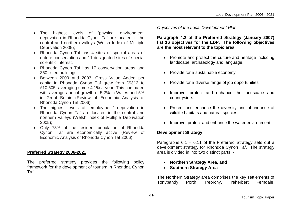- The highest levels of 'physical environment' deprivation in Rhondda Cynon Taf are located in the central and northern valleys (Welsh Index of Multiple Deprivation 2005);
- Rhondda Cynon Taf has 4 sites of special areas of nature conservation and 11 designated sites of special scientific interest.
- Rhondda Cynon Taf has 17 conservation areas and 360 listed buildings.
- Between 2000 and 2003, Gross Value Added per capita in Rhondda Cynon Taf grew from £9312 to £10,505, averaging some 4.1% a year. This compared with average annual growth of 5.2% in Wales and 5% in Great Britain (Review of Economic Analysis of Rhondda Cynon Taf 2006);
- The highest levels of 'employment' deprivation in Rhondda Cynon Taf are located in the central and northern valleys (Welsh Index of Multiple Deprivation 2005);
- Only 73% of the resident population of Rhondda Cynon Taf are economically active (Review of Economic Analysis of Rhondda Cynon Taf 2006);

# **Preferred Strategy 2006-2021**

The preferred strategy provides the following policy framework for the development of tourism in Rhondda Cynon Taf.

*Objectives of the Local Development Plan*

**Paragraph 4.2 of the Preferred Strategy (January 2007) list 16 objectives for the LDP. The following objectives are the most relevant to the topic area;**

- Promote and protect the culture and heritage including landscape, archaeology and language.
- Provide for a sustainable economy
- Provide for a diverse range of job opportunities.
- Improve, protect and enhance the landscape and countryside.
- Protect and enhance the diversity and abundance of wildlife habitats and natural species.
- Improve, protect and enhance the water environment.

# **Development Strategy**

Paragraphs 6.1 – 6.11 of the Preferred Strategy sets out a development strategy for Rhondda Cynon Taf. The strategy area is divided in into two distinct parts: -

- **Northern Strategy Area, and**
- **Southern Strategy Area**

The Northern Strategy area comprises the key settlements of Tonypandy, Porth, Treorchy, Treherbert, Ferndale,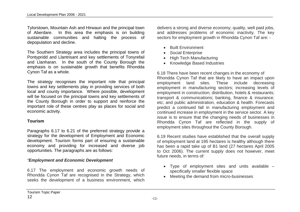Tylorstown, Mountain Ash and Hirwaun and the principal town of Aberdare. In this area the emphasis is on building sustainable communities and halting the process of depopulation and decline.

The Southern Strategy area includes the principal towns of Pontypridd and Llantrisant and key settlements of Tonyrefail and Llanharan. In the south of the County Borough the emphasis is on sustainable growth that benefits Rhondda Cynon Taf as a whole.

The strategy recognises the important role that principal towns and key settlements play in providing services of both local and county importance. Where possible, development will be focused on the principal towns and key settlements of the County Borough in order to support and reinforce the important role of these centres play as places for social and economic activity.

## **Tourism**

Paragraphs 6.17 to 6.21 of the preferred strategy provide a strategy for the development of Employment and Economic development. Tourism forms part of ensuring a sustainable economy and providing for increased and diverse job opportunities. The paragraphs are as follows:

# *"Employment and Economic Development*

6.17 The employment and economic growth needs of Rhondda Cynon Taf are recognised in the Strategy, which seeks the development of a business environment, which

delivers a strong and diverse economy; quality, well paid jobs, and addresses problems of economic inactivity. The key sectors for employment growth in Rhondda Cynon Taf are: -

- Built Environment
- Social Enterprise
- High Tech Manufacturing
- Knowledge Based Industries

6.18 There have been recent changes in the economy of Rhondda Cynon Taf that are likely to have an impact upon employment land sites. These include decreasing employment in manufacturing sectors; increasing levels of employment in construction; distribution, hotels & restaurants; transport & communications; banking, finance & insurance; etc; and public administration, education & health. Forecasts predict a continued fall in manufacturing employment and continued increase in employment in the service sector. A key issue is to ensure that the changing needs of businesses in Rhondda Cynon Taf are reflected in the supply of employment sites throughout the County Borough.

6.19 Recent studies have established that the overall supply of employment land at 195 hectares is healthy although there has been a rapid take up of B1 land (27 hectares April 2005 to Oct 2006). The current supply does not however, meet future needs, in terms of:

- Type of employment sites and units available specifically smaller flexible space
- Meeting the demand from micro-businesses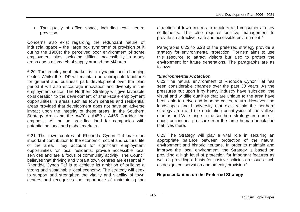• The quality of office space, including town centre provision

Concerns also exist regarding the redundant nature of industrial space – the 'large box syndrome' of provision built during the 1980s; the perceived poor environment of some employment sites including difficult accessibility in many areas and a mismatch of supply around the M4 area

6.20 The employment market is a dynamic and changing sector. Whilst the LDP will maintain an appropriate landbank for general and business park development over the plan period it will also encourage innovation and diversity in the employment sector. The Northern Strategy will give favorable consideration to the development of small-scale employment opportunities in areas such as town centres and residential areas provided that development does not have an adverse impact upon the integrity of these areas. In the Southern Strategy Area and the A470 / A459 / A465 Corridor the emphasis will be on providing land for companies with potential national and global markets.

6.21 The town centres of Rhondda Cynon Taf make an important contribution to the economic, social and cultural life of the area. They account for significant employment opportunities for local residents, provide accessible local services and are a focus of community activity. The Council believes that thriving and vibrant town centres are essential if Rhondda Cynon Taf is to achieve its ambition of building a strong and sustainable local economy. The strategy will seek to support and strengthen the vitality and viability of town centres and recognises the importance of maintaining the

attraction of town centres to retailers and consumers in key settlements. This also requires positive management to provide an attractive, safe and accessible environment."

Paragraphs 6.22 to 6.23 of the preferred strategy provide a strategy for environmental protection. Tourism aims to use this resource to attract visitors but also to protect the environment for future generations. The paragraphs are as follows:

#### *"Environmental Protection*

6.22 The natural environment of Rhondda Cynon Taf has seen considerable changes over the past 30 years. As the pressures put upon it by heavy industry have subsided, the visual and wildlife qualities that are unique to the area have been able to thrive and in some cases, return. However, the landscapes and biodiversity that exist within the northern strategy area and the undulating countryside of the valleys mouths and Vale fringe in the southern strategy area are still under continuous pressure from the large human population that lives there.

6.23 The Strategy will play a vital role in securing an appropriate balance between protection of the natural environment and historic heritage. In order to maintain and improve the local environment, the Strategy is based on providing a high level of protection for important features as well as providing a basis for positive policies on issues such as design, conservation and amenity provision."

# **Representations on the Preferred Strategy**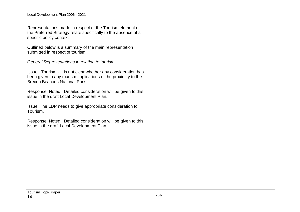Representations made in respect of the Tourism element of the Preferred Strategy relate specifically to the absence of a specific policy context.

Outlined below is a summary of the main representation submitted in respect of tourism.

*General Representations in relation to tourism* 

Issue: Tourism - It is not clear whether any consideration has been given to any tourism implications of the proximity to the Brecon Beacons National Park.

Response: Noted. Detailed consideration will be given to this issue in the draft Local Development Plan.

Issue: The LDP needs to give appropriate consideration to Tourism.

Response: Noted. Detailed consideration will be given to this issue in the draft Local Development Plan.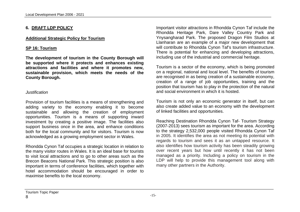# **6. DRAFT LDP POLICY**

#### **Additional Strategic Policy for Tourism**

#### **SP 16: Tourism**

**The development of tourism in the County Borough will be supported where it protects and enhances existing attractions and facilities and where it promotes new, sustainable provision, which meets the needs of the County Borough.**

#### *Justification*

Provision of tourism facilities is a means of strengthening and adding variety to the economy enabling it to become sustainable and allowing the creation of employment opportunities. Tourism is a means of supporting inward investment by creating a positive image. The facilities also support business once in the area, and enhance conditions both for the local community and for visitors. Tourism is now acknowledged as a growing employment sector in Wales.

Rhondda Cynon Taf occupies a strategic location in relation to the many visitor routes in Wales. It is an ideal base for tourists to visit local attractions and to go to other areas such as the Brecon Beacons National Park. This strategic position is also important in terms of conference facilities, which together with hotel accommodation should be encouraged in order to maximise benefits to the local economy.

Important visitor attractions in Rhondda Cynon Taf include the Rhondda Heritage Park, Dare Valley Country Park and Ynysangharad Park. The proposed Dragon Film Studios at Llanharan are an example of a major new development that will contribute to Rhondda Cynon Taf's tourism infrastructure. There is potential for enhancing and developing attractions, including use of the industrial and commercial heritage.

Tourism is a sector of the economy, which is being promoted on a regional, national and local level. The benefits of tourism are recognised in as being creation of a sustainable economy, creation of a range of job opportunities, training and the position that tourism has to play in the protection of the natural and social environment in which it is hosted.

Tourism is not only an economic generator in itself, but can also create added value to an economy with the development of linked facilities and opportunities.

Reaching Destination Rhondda Cynon Taf- Tourism Strategy (2007-2013) sees tourism as important for the area. According to the strategy 2,532,000 people visited Rhondda Cynon Taf in 2005. It identifies the area as not meeting its potential with regards to tourism and sees it as an untapped resource. It also identifies how tourism activity has been steadily growing over recent years but how until recently it has not been managed as a priority. Including a policy on tourism in the LDP will help to provide this management tool along with many other partners in the Authority.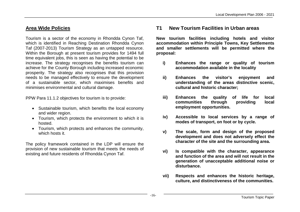# **Area Wide Policies**

Tourism is a sector of the economy in Rhondda Cynon Taf, which is identified in Reaching Destination Rhondda Cynon Taf (2007-2013) Tourism Strategy as an untapped resource. Within the Borough at present tourism provides for 1494 full time equivalent jobs, this is seen as having the potential to be increase. The strategy recognises the benefits tourism can achieve for the County Borough including increased economic prosperity. The strategy also recognises that this provision needs to be managed effectively to ensure the development of a sustainable sector, which maximises benefits and minimises environmental and cultural damage.

PPW Para 11.1.2 objectives for tourism is to provide:

- Sustainable tourism, which benefits the local economy and wider region.
- Tourism, which protects the environment to which it is hosted.
- Tourism, which protects and enhances the community, which hosts it.

The policy framework contained in the LDP will ensure the provision of new sustainable tourism that meets the needs of existing and future residents of Rhondda Cynon Taf.

# **T1 New Tourism Facilities in Urban areas**

**New tourism facilities including hotels and visitor accommodation within Principle Towns, Key Settlements and smaller settlements will be permitted where the proposal:**

- **i) Enhances the range or quality of tourism accommodation available in the locality**
- **ii) Enhances the visitor's enjoyment and understanding of the areas distinctive scenic, cultural and historic character;**
- **iii) Enhances the quality of life for local communities through providing local employment opportunities.**
- **iv) Accessible to local services by a range of modes of transport, on foot or by cycle.**
- **v) The scale, form and design of the proposed development and does not adversely effect the character of the site and the surrounding area.**
- **vi) Is compatible with the character, appearance and function of the area and will not result in the generation of unacceptable additional noise or disturbance.**
- **vii) Respects and enhances the historic heritage, culture, and distinctiveness of the communities.**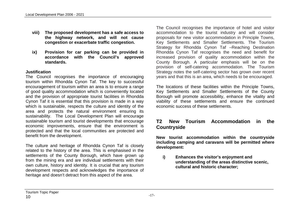- **viii) The proposed development has a safe access to the highway network, and will not cause congestion or exacerbate traffic congestion.**
- **ix) Provision for car parking can be provided in accordance with the Council's approved standards.**

## **Justification**

The Council recognises the importance of encouraging tourism within Rhondda Cynon Taf. The key to successful encouragement of tourism within an area is to ensure a range of good quality accommodation which is conveniently located and the provision of appropriate tourist facilities in Rhondda Cynon Taf it is essential that this provision is made in a way which is sustainable, respects the culture and identity of the area and protects the natural environment ensuring its sustainability. The Local Development Plan will encourage sustainable tourism and tourist developments that encourage economic improvements, ensure that the environment is protected and that the local communities are protected and benefit from the development.

The culture and heritage of Rhondda Cynon Taf is closely related to the history of the area. This is emphasised in the settlements of the County Borough, which have grown up from the mining era and are individual settlements with their own culture, history and identity. It is crucial that any tourism development respects and acknowledges the importance of heritage and doesn't detract from this aspect of the area.

The Council recognises the importance of hotel and visitor accommodation to the tourist industry and will consider proposals for new visitor accommodation in Principle Towns, Key Settlements and Smaller Settlements. The Tourism Strategy for Rhondda Cynon Taf –Reaching Destination Rhondda Cynon Taf recognises the need and benefit for increased provision of quality accommodation within the County Borough. A particular emphasis will be on the provision of self-catering accommodation. The Tourism Strategy notes the self-catering sector has grown over recent years and that this is an area, which needs to be encouraged.

The locations of these facilities within the Principle Towns, Key Settlements and Smaller Settlements of the County Borough will promote accessibility, enhance the vitality and viability of these settlements and ensure the continued economic success of these settlements.

# **T2 New Tourism Accommodation in the Countryside**

**New tourist accommodation within the countryside including camping and caravans will be permitted where development:**

**i) Enhances the visitor's enjoyment and understanding of the areas distinctive scenic, cultural and historic character;**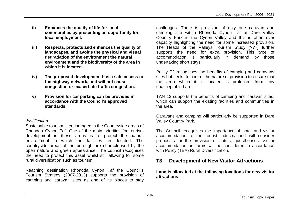- **ii) Enhances the quality of life for local communities by presenting an opportunity for local employment.**
- **iii) Respects, protects and enhances the quality of landscapes, and avoids the physical and visual degradation of the environment the natural environment and the biodiversity of the area in which it is located**
- **iv) The proposed development has a safe access to the highway network, and will not cause congestion or exacerbate traffic congestion.**
- **v) Provision for car parking can be provided in accordance with the Council's approved standards.**

#### *Justification*

Sustainable tourism is encouraged in the Countryside areas of Rhondda Cynon Taf. One of the main priorities for tourism development in these areas is to protect the natural environment in which the facilities are located. The countryside areas of the borough are characterised by the open nature and green appearance. The council recognises the need to protect this asset whilst still allowing for some rural diversification such as tourism.

Reaching destination Rhondda Cynon Taf the Council's Tourism Strategy (2007-2013) supports the provision of camping and caravan sites as one of its places to stay

challenges. There is provision of only one caravan and camping site within Rhondda Cynon Taf at Dare Valley Country Park in the Cynon Valley and this is often over capacity highlighting the need for some increased provision. The Heads of the Valleys Tourism Study (???) further supports the need for extra provision. This type of accommodation is particularly in demand by those undertaking short stays.

Policy T2 recognises the benefits of camping and caravans sites but seeks to control the nature of provision to ensure that the area which it is located is protected from any unacceptable harm.

TAN 13 supports the benefits of camping and caravan sites, which can support the existing facilities and communities in the area.

Caravans and camping will particularly be supported in Dare Valley Country Park.

The Council recognises the importance of hotel and visitor accommodation to the tourist industry and will consider proposals for the provision of hotels, guesthouses. Visitor accommodation on farms will be considered in accordance with Policy (TBA) Rural Diversification.

# **T3 Development of New Visitor Attractions**

**Land is allocated at the following locations for new visitor attractions:**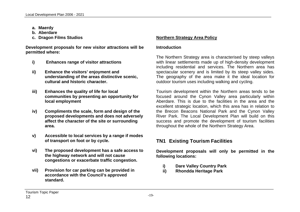- **a. Maerdy**
- **b. Aberdare**
- **c. Dragon Films Studios**

**Development proposals for new visitor attractions will be permitted where:**

- **i) Enhances range of visitor attractions**
- **ii) Enhance the visitors' enjoyment and understanding of the areas distinctive scenic, cultural and historic character.**
- **iii) Enhances the quality of life for local communities by presenting an opportunity for local employment**
- **iv) Compliments the scale, form and design of the proposed developments and does not adversely affect the character of the site or surrounding area.**
- **v) Accessible to local services by a range if modes of transport on foot or by cycle.**
- **vi) The proposed development has a safe access to the highway network and will not cause congestions or exacerbate traffic congestion.**
- **vii) Provision for car parking can be provided in accordance with the Council's approved standard.**

# **Northern Strategy Area Policy**

# **Introduction**

The Northern Strategy area is characterised by steep valleys with linear settlements made up of high-density development including residential and services. The Northern area has spectacular scenery and is limited by its steep valley sides. The geography of the area make it the ideal location for outdoor tourism uses including walking and cycling.

Tourism development within the Northern areas tends to be focused around the Cynon Valley area particularly within Aberdare. This is due to the facilities in the area and the excellent strategic location, which this area has in relation to the Brecon Beacons National Park and the Cynon Valley River Park. The Local Development Plan will build on this success and promote the development of tourism facilities throughout the whole of the Northern Strategy Area.

# **TN1 Existing Tourism Facilities**

**Development proposals will only be permitted in the following locations:**

- **i) Dare Valley Country Park**
- **ii) Rhondda Heritage Park**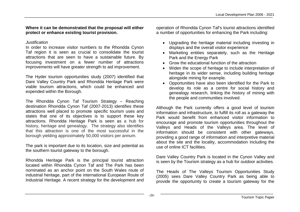# **Where it can be demonstrated that the proposal will either protect or enhance existing tourist provision.**

#### *Justification*

In order to increase visitor numbers to the Rhondda Cynon Taf region it is seen as crucial to consolidate the tourist attractions that are seen to have a sustainable future. By focusing investment on a fewer number of attractions improvements will have greater strength to aid improvement.

The Hyder tourism opportunities study (2007) identified that Dare Valley Country Park and Rhondda Heritage Park were viable tourism attractions, which could be enhanced and expended within the Borough.

The Rhondda Cynon Taf Tourism Strategy – Reaching destination Rhondda Cynon Taf (2007-2013) identifies these attractions well placed to promote specific tourism uses and states that one of its objectives is to support these key attractions. Rhondda Heritage Park is seen as a hub for history, heritage and genealogy. The strategy also identifies that this attraction is one of the most successful in the borough yielding approximately 50,000 visitors per annum.

The park is important due to its location, size and potential as the southern tourist gateway to the borough.

Rhondda Heritage Park is the principal tourist attraction located within Rhondda Cynon Taf and The Park has been nominated as an anchor point on the South Wales route of industrial heritage, part of the international European Route of Industrial Heritage. A recent strategy for the development and

operation of Rhondda Cynon Taf's tourist attractions identified a number of opportunities for enhancing the Park including:

- Upgrading the heritage material including investing in displays and the overall visitor experience
- Marketing entities separately, such as the Heritage Park and the Energy Park
- Grow the educational function of the attraction
- Widen the scope of heritage to include interpretation of heritage in its wider sense, including building heritage alongside mining for example.
- Opportunities have also been identified for the Park to develop its role as a centre for social history and genealogy research, linking the history of mining with the people and communities involved.

Although the Park currently offers a good level of tourism information and infrastructure, to fulfill its roll as a gateway the Park would benefit from enhanced visitor information to encourage and promote tourism opportunities throughout the Valleys and Heads of the Valleys area. The level of information should be consistent with other gateways, providing a good range of information and interpretive material about the site and the locality, accommodation including the use of online ICT facilities.

Dare Valley Country Park is located in the Cynon Valley and is seen by the Tourism strategy as a hub for outdoor activities.

The Heads of The Valleys Tourism Opportunities Study (2005) sees Dare Valley Country Park as being able to provide the opportunity to create a tourism gateway for the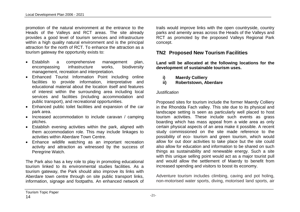promotion of the natural environment at the entrance to the Heads of the Valleys and RCT areas. The site already provides a good level of tourism services and infrastructure within a high quality natural environment and is the principal attraction for the north of RCT. To enhance the attraction as a tourism gateway the opportunity exists to:

- Establish a comprehensive management plan, encompassing infrastructure works, biodiversity management, recreation and interpretation.
- Enhanced Tourist Information Point including online facilities to provide information, interpretative and educational material about the location itself and features of interest within the surrounding area including local services and facilities (including accommodation and public transport), and recreational opportunities.
- Enhanced public toilet facilities and expansion of the car park area.
- Increased accommodation to include caravan / camping pitches.
- Establish evening activities within the park, aligned with them accommodation role. This may include linkages to activities within Aberdare Town Centre.
- Enhance wildlife watching as an important recreation activity and attraction as witnessed by the success of Peregrine Watch.

The Park also has a key role to play in promoting educational tourism linked to its environmental studies facilities. As a tourism gateway, the Park should also improve its links with Aberdare town centre through on site public transport links, information, signage and footpaths. An enhanced network of trails would improve links with the open countryside, country parks and amenity areas across the Heads of the Valleys and RCT as promoted by the proposed Valleys Regional Park concept.

# **TN2 Proposed New Tourism Facilities**

**Land will be allocated at the following locations for the development of sustainable tourism uses.**

**ii) Robertstown, Aberdare**

#### *Justification*

Proposed sites for tourism include the former Maerdy Colliery in the Rhondda Fach valley. This site due to its physical and landscape setting is seen as particularly well placed to host tourism activities. These include such events as grass boarding which has mass appeal from a wide area as only certain physical aspects of an area make it possible. A recent study commissioned on the site made reference to the possibility of eco- tourism and green tourism, which would allow for out door activities to take place but the site could also allow for education and information to be shared on such things as sustainability and renewable energy. Such a site with this unique selling point would act as a major tourist pull and would allow the settlement of Maerdy to benefit from increased spending and visitors to boost its economy.

Adventure tourism includes climbing, caving and pot holing, non-motorised water sports, diving, motorised land sports, air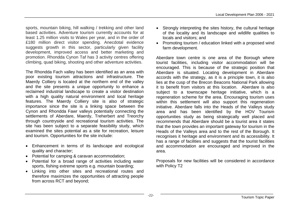sports, mountain biking, hill walking / trekking and other land based activities. Adventure tourism currently accounts for at least 1.25 million visits to Wales per year, and in the order of £180 million direct visitor spending. Anecdotal evidence suggests growth in this sector, particularly given facility development, improved access and better marketing and promotion. Rhondda Cynon Taf has 3 activity centres offering climbing, quad biking, shooting and other adventure activities.

The Rhondda Fach valley has been identified as an area with poor existing tourism attractions and infrastructure. The Maerdy Colliery is located at the northern end of the valley and the site presents a unique opportunity to enhance a reclaimed industrial landscape to create a visitor destination with a high quality natural environment and local heritage features. The Maerdy Colliery site is also of strategic importance since the site is a linking space between the Cynon and Rhondda Fawr valleys potentially connecting the settlements of Aberdare, Maerdy, Treherbert and Treorchy through countryside and recreational tourism activities. The site has been subject to a separate feasibility study, which examined the sites potential as a site for recreation, leisure and tourism. Opportunities for the site include:

- Enhancement in terms of its landscape and ecological quality and character;
- Potential for camping & caravan accommodation;
- Potential for a broad range of activities including water sports, fishing extreme sports e.g. mountain boarding;
- Linking into other sites and recreational routes and therefore maximizes the opportunities of attracting people from across RCT and beyond;
- Strongly interpreting the sites history, the cultural heritage of the locality and its landscape and wildlife qualities to locals and visitors; and
- Promoting tourism / education linked with a proposed wind farm development.

Aberdare town centre is one area of the Borough where tourist facilities, including visitor accommodation will be encouraged. This is because of the strategic position that Aberdare is situated. Locating development in Aberdare accords with the strategy, as it is a principle town, it is also lies at the cusp of the Brecon Beacons National Park allowing it to benefit from visitors at this location. Aberdare is also subject to a townscape heritage initiative, which is a regeneration scheme for the area. Encouraging tourism uses within this settlement will also support this regeneration initiative. Aberdare falls into the Heads of the Valleys study area and has been identified by the HOV Tourism opportunities study as being strategically well placed and recommends that Aberdare should be a tourist area it states that the town provides an important gateway for tourism in the Heads of the Valleys area and to the rest of the Borough. It recognises it heritage and environment and its accessibility. It has a range of facilities and suggests that the tourist facilities and accommodation are encouraged and improved in the area.

Proposals for new facilities will be considered in accordance with Policy T2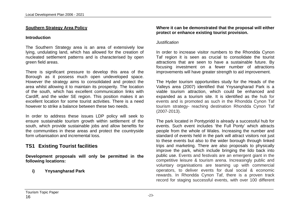## **Southern Strategy Area Policy**

#### **Introduction**

The Southern Strategy area is an area of extensively low lying, undulating land, which has allowed for the creation of nucleated settlement patterns and is characterised by open green field areas.

There is significant pressure to develop this area of the Borough as it possess much open undeveloped space. However the strategy aims to consolidated and protect the area whilst allowing it to maintain its prosperity. The location of the south, which has excellent communication links with Cardiff, and the wider SE region. This position makes it an excellent location for some tourist activities. There is a need however to strike a balance between these two needs.

In order to address these issues LDP policy will seek to ensure sustainable tourism growth within settlement of the south, which provide sustainable jobs and allow benefits for the communities in these areas and protect the countryside form urbanisation and incremental loss

# **TS1 Existing Tourist facilities**

**Development proposals will only be permitted in the following locations:**

**i) Ynysangharad Park** 

## **Where it can be demonstrated that the proposal will either protect or enhance existing tourist provision.**

#### *Justification*

In order to increase visitor numbers to the Rhondda Cynon Taf region it is seen as crucial to consolidate the tourist attractions that are seen to have a sustainable future. By focusing investment on a fewer number of attractions improvements will have greater strength to aid improvement.

The Hyder tourism opportunities study for the Heads of the Valleys area (2007) identified that Ynysangharad Park is a viable tourism attraction, which could be enhanced and expanded as a tourism site. It is identified as the hub for events and is promoted as such in the Rhondda Cynon Taf tourism strategy- reaching destination Rhondda Cynon Taf (2007-2013).

The park located in Pontypridd is already a successful hub for events. Such event includes 'the Full Ponty' which attracts people from the whole of Wales. Increasing the number and standard of events held in the park will attract visitors not just to these events but also to the wider borough through linked trips and marketing. There are also proposals to physically improve the park, which include bringing the lido back into public use. Events and festivals are an emergent giant in the competitive leisure & tourism arena. Increasingly public and voluntary organisations are teaming up with commercial operators, to deliver events for dual social & economic rewards. In Rhondda Cynon Taf, there is a proven track record for staging successful events, with over 100 different